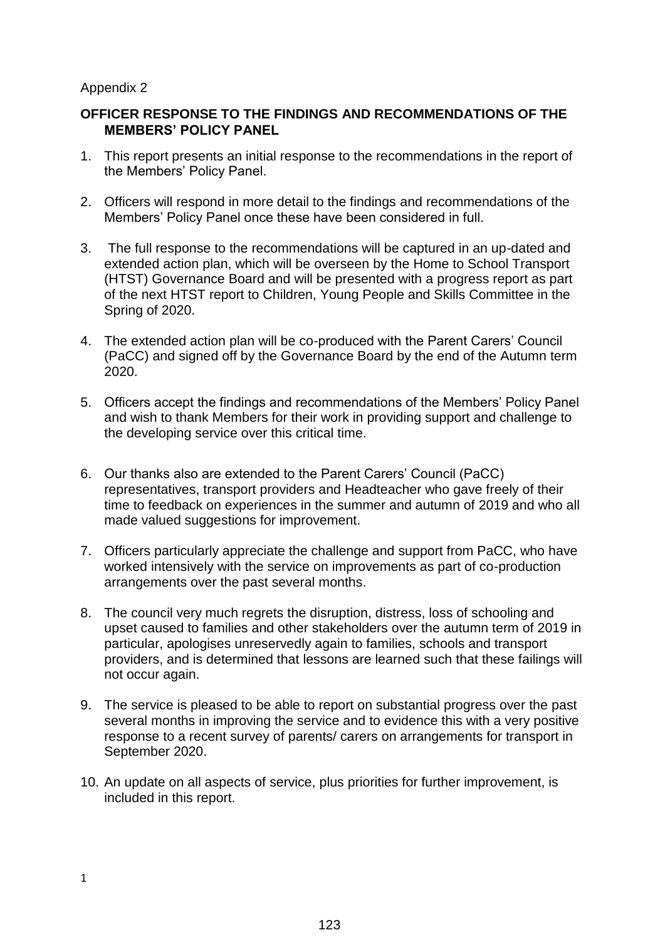## Appendix 2

# **OFFICER RESPONSE TO THE FINDINGS AND RECOMMENDATIONS OF THE MEMBERS' POLICY PANEL**

- 1. This report presents an initial response to the recommendations in the report of the Members' Policy Panel.
- 2. Officers will respond in more detail to the findings and recommendations of the Members' Policy Panel once these have been considered in full.
- 3. The full response to the recommendations will be captured in an up-dated and extended action plan, which will be overseen by the Home to School Transport (HTST) Governance Board and will be presented with a progress report as part of the next HTST report to Children, Young People and Skills Committee in the Spring of 2020.
- 4. The extended action plan will be co-produced with the Parent Carers' Council (PaCC) and signed off by the Governance Board by the end of the Autumn term 2020.
- 5. Officers accept the findings and recommendations of the Members' Policy Panel and wish to thank Members for their work in providing support and challenge to the developing service over this critical time.
- 6. Our thanks also are extended to the Parent Carers' Council (PaCC) representatives, transport providers and Headteacher who gave freely of their time to feedback on experiences in the summer and autumn of 2019 and who all made valued suggestions for improvement.
- 7. Officers particularly appreciate the challenge and support from PaCC, who have worked intensively with the service on improvements as part of co-production arrangements over the past several months.
- 8. The council very much regrets the disruption, distress, loss of schooling and upset caused to families and other stakeholders over the autumn term of 2019 in particular, apologises unreservedly again to families, schools and transport providers, and is determined that lessons are learned such that these failings will not occur again.
- 9. The service is pleased to be able to report on substantial progress over the past several months in improving the service and to evidence this with a very positive response to a recent survey of parents/ carers on arrangements for transport in September 2020.
- 10. An update on all aspects of service, plus priorities for further improvement, is included in this report.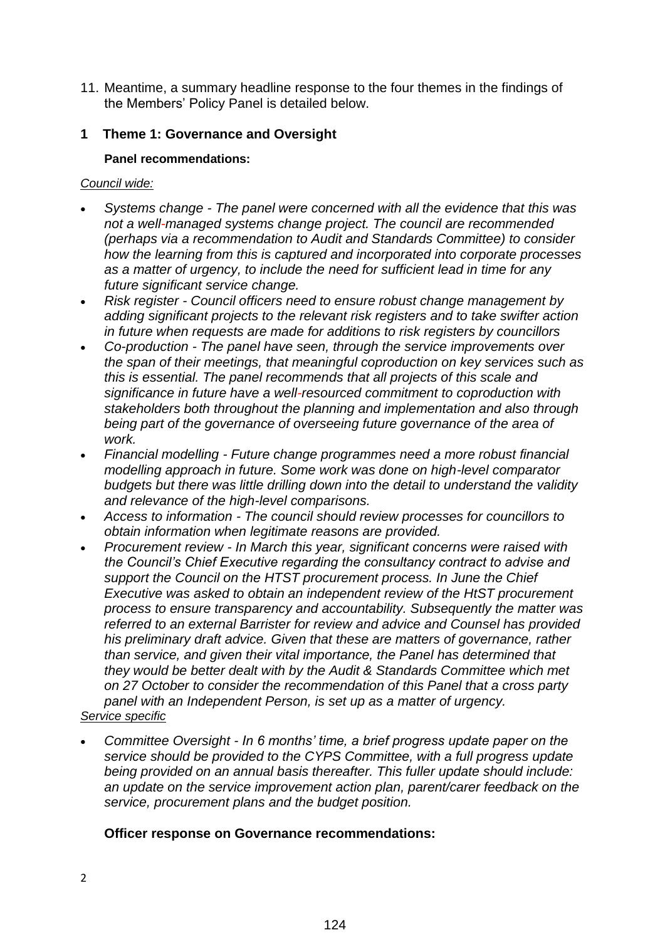11. Meantime, a summary headline response to the four themes in the findings of the Members' Policy Panel is detailed below.

# **1 Theme 1: Governance and Oversight**

# **Panel recommendations:**

## *Council wide:*

- *Systems change - The panel were concerned with all the evidence that this was not a well-managed systems change project. The council are recommended (perhaps via a recommendation to Audit and Standards Committee) to consider how the learning from this is captured and incorporated into corporate processes as a matter of urgency, to include the need for sufficient lead in time for any future significant service change.*
- *Risk register - Council officers need to ensure robust change management by adding significant projects to the relevant risk registers and to take swifter action in future when requests are made for additions to risk registers by councillors*
- *Co-production - The panel have seen, through the service improvements over the span of their meetings, that meaningful coproduction on key services such as this is essential. The panel recommends that all projects of this scale and significance in future have a well-resourced commitment to coproduction with stakeholders both throughout the planning and implementation and also through being part of the governance of overseeing future governance of the area of work.*
- *Financial modelling - Future change programmes need a more robust financial modelling approach in future. Some work was done on high-level comparator budgets but there was little drilling down into the detail to understand the validity and relevance of the high-level comparisons.*
- *Access to information - The council should review processes for councillors to obtain information when legitimate reasons are provided.*
- *Procurement review - In March this year, significant concerns were raised with the Council's Chief Executive regarding the consultancy contract to advise and support the Council on the HTST procurement process. In June the Chief Executive was asked to obtain an independent review of the HtST procurement process to ensure transparency and accountability. Subsequently the matter was referred to an external Barrister for review and advice and Counsel has provided his preliminary draft advice. Given that these are matters of governance, rather than service, and given their vital importance, the Panel has determined that they would be better dealt with by the Audit & Standards Committee which met on 27 October to consider the recommendation of this Panel that a cross party panel with an Independent Person, is set up as a matter of urgency. Service specific*
- *Committee Oversight - In 6 months' time, a brief progress update paper on the service should be provided to the CYPS Committee, with a full progress update being provided on an annual basis thereafter. This fuller update should include: an update on the service improvement action plan, parent/carer feedback on the service, procurement plans and the budget position.*

# **Officer response on Governance recommendations:**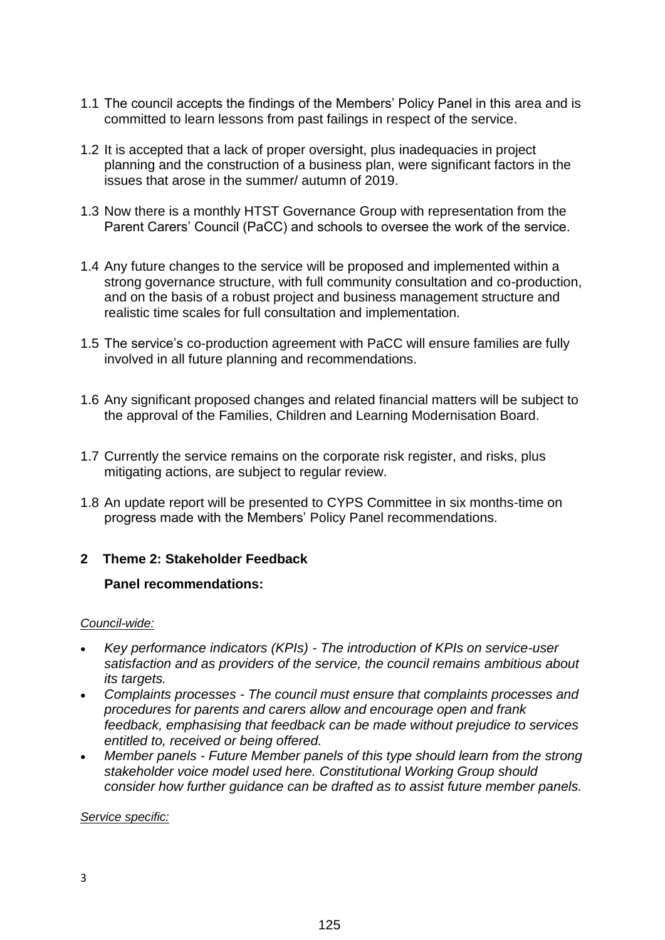- 1.1 The council accepts the findings of the Members' Policy Panel in this area and is committed to learn lessons from past failings in respect of the service.
- 1.2 It is accepted that a lack of proper oversight, plus inadequacies in project planning and the construction of a business plan, were significant factors in the issues that arose in the summer/ autumn of 2019.
- 1.3 Now there is a monthly HTST Governance Group with representation from the Parent Carers' Council (PaCC) and schools to oversee the work of the service.
- 1.4 Any future changes to the service will be proposed and implemented within a strong governance structure, with full community consultation and co-production, and on the basis of a robust project and business management structure and realistic time scales for full consultation and implementation.
- 1.5 The service's co-production agreement with PaCC will ensure families are fully involved in all future planning and recommendations.
- 1.6 Any significant proposed changes and related financial matters will be subject to the approval of the Families, Children and Learning Modernisation Board.
- 1.7 Currently the service remains on the corporate risk register, and risks, plus mitigating actions, are subject to regular review.
- 1.8 An update report will be presented to CYPS Committee in six months-time on progress made with the Members' Policy Panel recommendations.

## **2 Theme 2: Stakeholder Feedback**

## **Panel recommendations:**

#### *Council-wide:*

- *Key performance indicators (KPIs) - The introduction of KPIs on service-user satisfaction and as providers of the service, the council remains ambitious about its targets.*
- *Complaints processes - The council must ensure that complaints processes and procedures for parents and carers allow and encourage open and frank feedback, emphasising that feedback can be made without prejudice to services entitled to, received or being offered.*
- *Member panels - Future Member panels of this type should learn from the strong stakeholder voice model used here. Constitutional Working Group should consider how further guidance can be drafted as to assist future member panels.*

*Service specific:*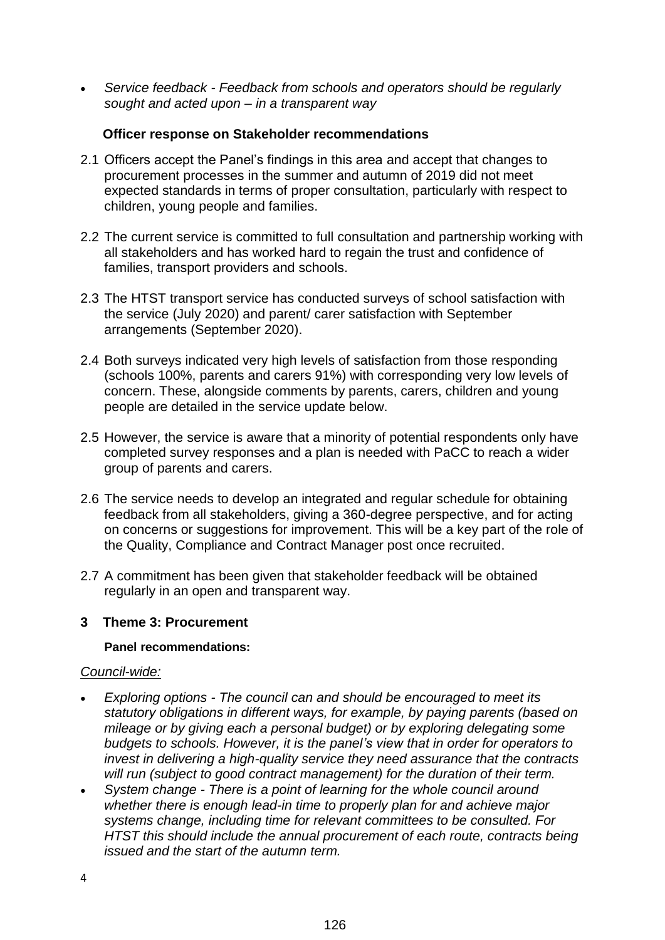*Service feedback - Feedback from schools and operators should be regularly sought and acted upon – in a transparent way*

# **Officer response on Stakeholder recommendations**

- 2.1 Officers accept the Panel's findings in this area and accept that changes to procurement processes in the summer and autumn of 2019 did not meet expected standards in terms of proper consultation, particularly with respect to children, young people and families.
- 2.2 The current service is committed to full consultation and partnership working with all stakeholders and has worked hard to regain the trust and confidence of families, transport providers and schools.
- 2.3 The HTST transport service has conducted surveys of school satisfaction with the service (July 2020) and parent/ carer satisfaction with September arrangements (September 2020).
- 2.4 Both surveys indicated very high levels of satisfaction from those responding (schools 100%, parents and carers 91%) with corresponding very low levels of concern. These, alongside comments by parents, carers, children and young people are detailed in the service update below.
- 2.5 However, the service is aware that a minority of potential respondents only have completed survey responses and a plan is needed with PaCC to reach a wider group of parents and carers.
- 2.6 The service needs to develop an integrated and regular schedule for obtaining feedback from all stakeholders, giving a 360-degree perspective, and for acting on concerns or suggestions for improvement. This will be a key part of the role of the Quality, Compliance and Contract Manager post once recruited.
- 2.7 A commitment has been given that stakeholder feedback will be obtained regularly in an open and transparent way.

## **3 Theme 3: Procurement**

# **Panel recommendations:**

## *Council-wide:*

- *Exploring options - The council can and should be encouraged to meet its statutory obligations in different ways, for example, by paying parents (based on mileage or by giving each a personal budget) or by exploring delegating some budgets to schools. However, it is the panel's view that in order for operators to invest in delivering a high-quality service they need assurance that the contracts will run (subject to good contract management) for the duration of their term.*
- *System change - There is a point of learning for the whole council around whether there is enough lead-in time to properly plan for and achieve major systems change, including time for relevant committees to be consulted. For HTST this should include the annual procurement of each route, contracts being issued and the start of the autumn term.*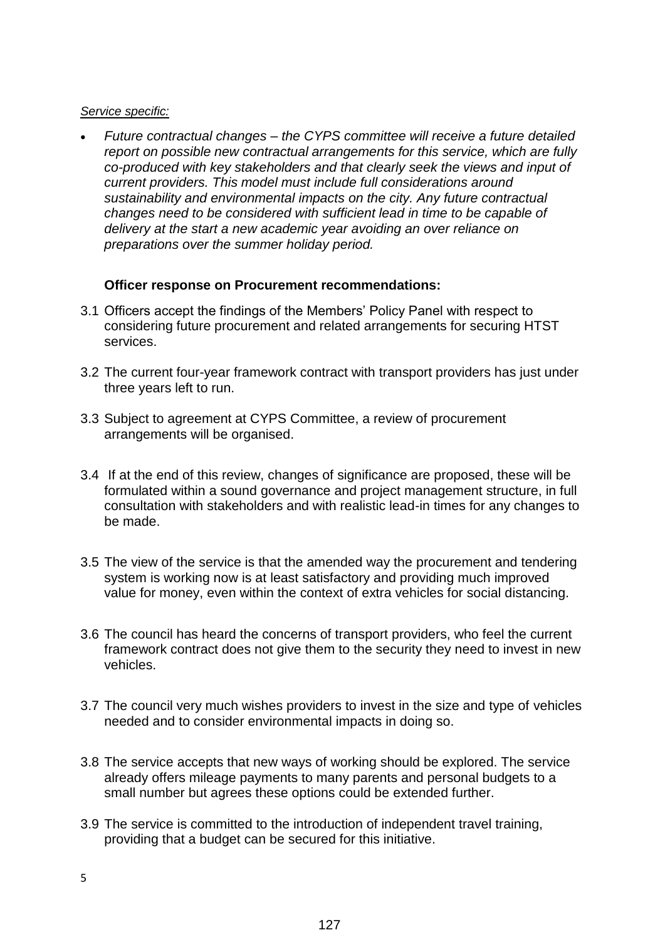#### *Service specific:*

 *Future contractual changes – the CYPS committee will receive a future detailed report on possible new contractual arrangements for this service, which are fully co-produced with key stakeholders and that clearly seek the views and input of current providers. This model must include full considerations around sustainability and environmental impacts on the city. Any future contractual changes need to be considered with sufficient lead in time to be capable of delivery at the start a new academic year avoiding an over reliance on preparations over the summer holiday period.* 

## **Officer response on Procurement recommendations:**

- 3.1 Officers accept the findings of the Members' Policy Panel with respect to considering future procurement and related arrangements for securing HTST services.
- 3.2 The current four-year framework contract with transport providers has just under three years left to run.
- 3.3 Subject to agreement at CYPS Committee, a review of procurement arrangements will be organised.
- 3.4 If at the end of this review, changes of significance are proposed, these will be formulated within a sound governance and project management structure, in full consultation with stakeholders and with realistic lead-in times for any changes to be made.
- 3.5 The view of the service is that the amended way the procurement and tendering system is working now is at least satisfactory and providing much improved value for money, even within the context of extra vehicles for social distancing.
- 3.6 The council has heard the concerns of transport providers, who feel the current framework contract does not give them to the security they need to invest in new vehicles.
- 3.7 The council very much wishes providers to invest in the size and type of vehicles needed and to consider environmental impacts in doing so.
- 3.8 The service accepts that new ways of working should be explored. The service already offers mileage payments to many parents and personal budgets to a small number but agrees these options could be extended further.
- 3.9 The service is committed to the introduction of independent travel training, providing that a budget can be secured for this initiative.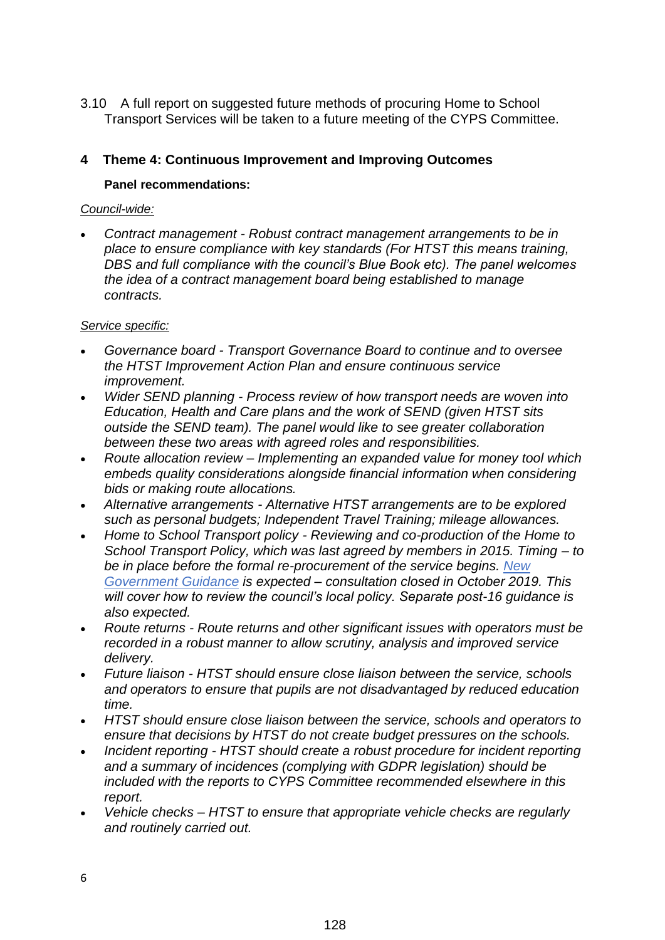3.10 A full report on suggested future methods of procuring Home to School Transport Services will be taken to a future meeting of the CYPS Committee.

# **4 Theme 4: Continuous Improvement and Improving Outcomes**

## **Panel recommendations:**

#### *Council-wide:*

 *Contract management - Robust contract management arrangements to be in place to ensure compliance with key standards (For HTST this means training, DBS and full compliance with the council's Blue Book etc). The panel welcomes the idea of a contract management board being established to manage contracts.*

#### *Service specific:*

- *Governance board - Transport Governance Board to continue and to oversee the HTST Improvement Action Plan and ensure continuous service improvement.*
- *Wider SEND planning - Process review of how transport needs are woven into Education, Health and Care plans and the work of SEND (given HTST sits outside the SEND team). The panel would like to see greater collaboration between these two areas with agreed roles and responsibilities.*
- *Route allocation review – Implementing an expanded value for money tool which embeds quality considerations alongside financial information when considering bids or making route allocations.*
- *Alternative arrangements - Alternative HTST arrangements are to be explored such as personal budgets; Independent Travel Training; mileage allowances.*
- *Home to School Transport policy - Reviewing and co-production of the Home to School Transport Policy, which was last agreed by members in 2015. Timing – to be in place before the formal re-procurement of the service begins. [New](https://consult.education.gov.uk/home-to-school-transport-and-admissions-team/home-to-school-travel-and-transport-statutory-guid/supporting_documents/Draft%20statutory%20guidance%20%20Home%20to%20school%20travel%20and%20transport%20for%20children%20of%20compulsory%20school%20age.pdf)  [Government Guidance](https://consult.education.gov.uk/home-to-school-transport-and-admissions-team/home-to-school-travel-and-transport-statutory-guid/supporting_documents/Draft%20statutory%20guidance%20%20Home%20to%20school%20travel%20and%20transport%20for%20children%20of%20compulsory%20school%20age.pdf) is expected – consultation closed in October 2019. This will cover how to review the council's local policy. Separate post-16 guidance is also expected.*
- *Route returns - Route returns and other significant issues with operators must be recorded in a robust manner to allow scrutiny, analysis and improved service delivery.*
- *Future liaison - HTST should ensure close liaison between the service, schools and operators to ensure that pupils are not disadvantaged by reduced education time.*
- *HTST should ensure close liaison between the service, schools and operators to ensure that decisions by HTST do not create budget pressures on the schools.*
- *Incident reporting - HTST should create a robust procedure for incident reporting and a summary of incidences (complying with GDPR legislation) should be included with the reports to CYPS Committee recommended elsewhere in this report.*
- *Vehicle checks – HTST to ensure that appropriate vehicle checks are regularly and routinely carried out.*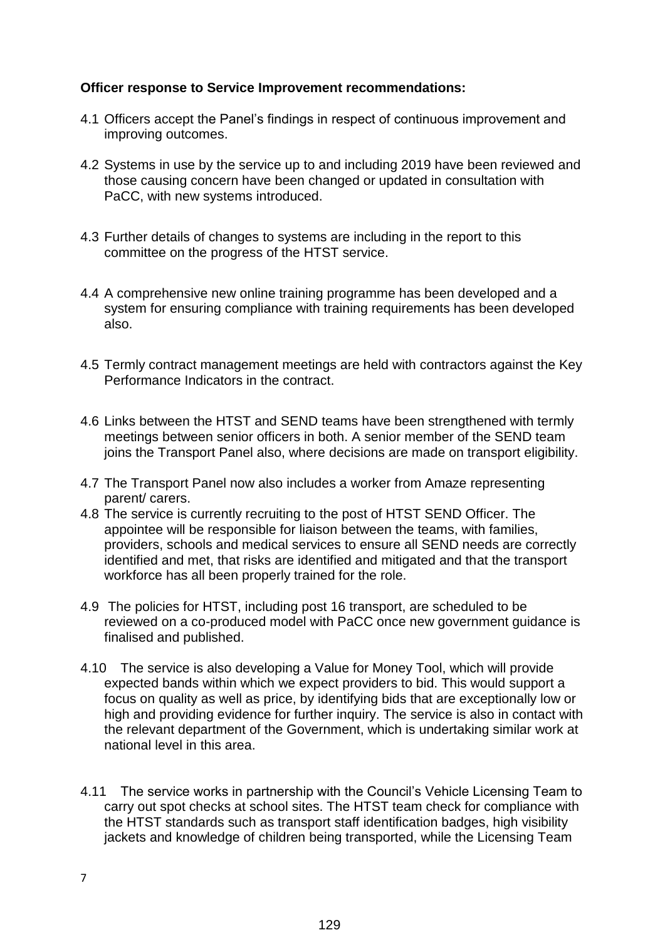# **Officer response to Service Improvement recommendations:**

- 4.1 Officers accept the Panel's findings in respect of continuous improvement and improving outcomes.
- 4.2 Systems in use by the service up to and including 2019 have been reviewed and those causing concern have been changed or updated in consultation with PaCC, with new systems introduced.
- 4.3 Further details of changes to systems are including in the report to this committee on the progress of the HTST service.
- 4.4 A comprehensive new online training programme has been developed and a system for ensuring compliance with training requirements has been developed also.
- 4.5 Termly contract management meetings are held with contractors against the Key Performance Indicators in the contract.
- 4.6 Links between the HTST and SEND teams have been strengthened with termly meetings between senior officers in both. A senior member of the SEND team joins the Transport Panel also, where decisions are made on transport eligibility.
- 4.7 The Transport Panel now also includes a worker from Amaze representing parent/ carers.
- 4.8 The service is currently recruiting to the post of HTST SEND Officer. The appointee will be responsible for liaison between the teams, with families, providers, schools and medical services to ensure all SEND needs are correctly identified and met, that risks are identified and mitigated and that the transport workforce has all been properly trained for the role.
- 4.9 The policies for HTST, including post 16 transport, are scheduled to be reviewed on a co-produced model with PaCC once new government guidance is finalised and published.
- 4.10 The service is also developing a Value for Money Tool, which will provide expected bands within which we expect providers to bid. This would support a focus on quality as well as price, by identifying bids that are exceptionally low or high and providing evidence for further inquiry. The service is also in contact with the relevant department of the Government, which is undertaking similar work at national level in this area.
- 4.11 The service works in partnership with the Council's Vehicle Licensing Team to carry out spot checks at school sites. The HTST team check for compliance with the HTST standards such as transport staff identification badges, high visibility jackets and knowledge of children being transported, while the Licensing Team